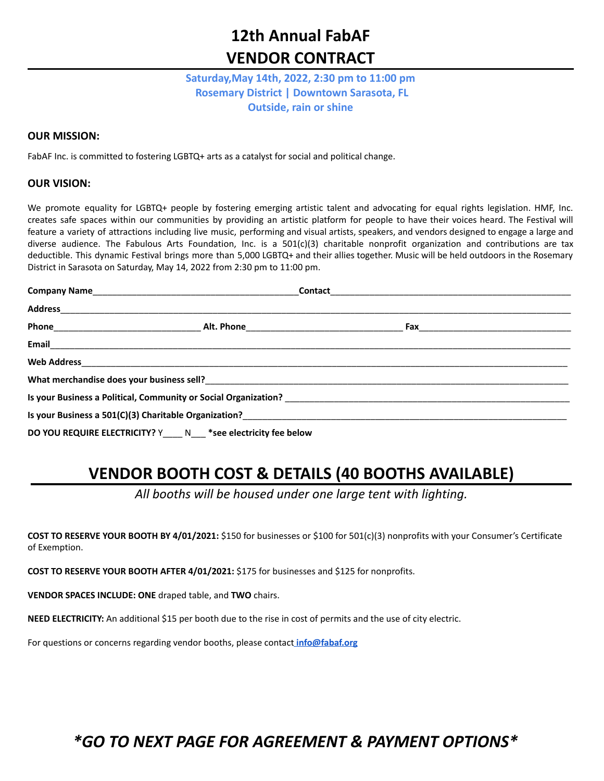# **12th Annual FabAF VENDOR CONTRACT**

### **Saturday,May 14th, 2022, 2:30 pm to 11:00 pm Rosemary District | Downtown Sarasota, FL Outside, rain or shine**

#### **OUR MISSION:**

FabAF Inc. is committed to fostering LGBTQ+ arts as a catalyst for social and political change.

#### **OUR VISION:**

We promote equality for LGBTQ+ people by fostering emerging artistic talent and advocating for equal rights legislation. HMF, Inc. creates safe spaces within our communities by providing an artistic platform for people to have their voices heard. The Festival will feature a variety of attractions including live music, performing and visual artists, speakers, and vendors designed to engage a large and diverse audience. The Fabulous Arts Foundation, Inc. is a 501(c)(3) charitable nonprofit organization and contributions are tax deductible. This dynamic Festival brings more than 5,000 LGBTQ+ and their allies together. Music will be held outdoors in the Rosemary District in Sarasota on Saturday, May 14, 2022 from 2:30 pm to 11:00 pm.

| Is your Business a 501(C)(3) Charitable Organization?<br>2020 -  2020 -  2020 -  2020 - Production Political Production Production Production Production Production Pro |                                                                   |  |  |
|-------------------------------------------------------------------------------------------------------------------------------------------------------------------------|-------------------------------------------------------------------|--|--|
|                                                                                                                                                                         | DO YOU REQUIRE ELECTRICITY? Y____ N___ *see electricity fee below |  |  |

### **VENDOR BOOTH COST & DETAILS (40 BOOTHS AVAILABLE)**

*All booths will be housed under one large tent with lighting.*

**COST TO RESERVE YOUR BOOTH BY 4/01/2021:** \$150 for businesses or \$100 for 501(c)(3) nonprofits with your Consumer's Certificate of Exemption.

**COST TO RESERVE YOUR BOOTH AFTER 4/01/2021:** \$175 for businesses and \$125 for nonprofits.

**VENDOR SPACES INCLUDE: ONE** draped table, and **TWO** chairs.

**NEED ELECTRICITY:** An additional \$15 per booth due to the rise in cost of permits and the use of city electric.

For questions or concerns regarding vendor booths, please contact **[info@fabaf.org](mailto:info@fabaf.org)**

### *\*GO TO NEXT PAGE FOR AGREEMENT & PAYMENT OPTIONS\**